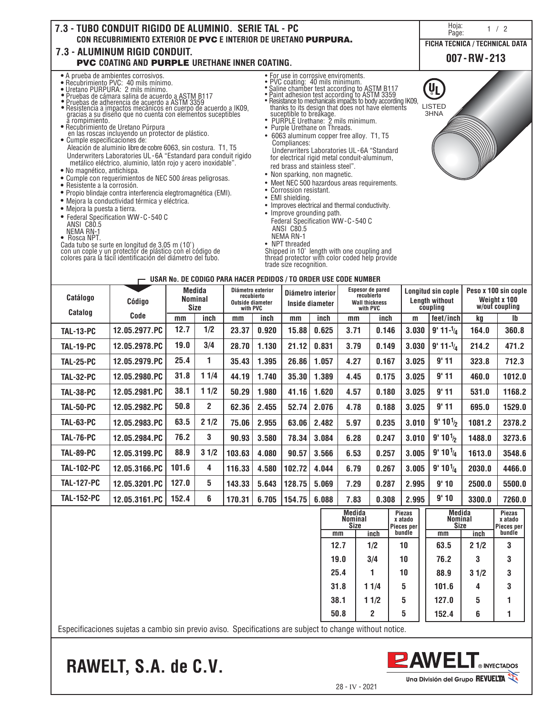

| Catálogo          | Código          | Medida<br><b>Nominal</b><br><b>Size</b> |      | Diámetro exterior<br>recubierto<br><b>Outside diameter</b><br>with PVC |       | Diámetro interior<br>Inside diameter |       | <b>Espesor de pared</b><br>recubierto<br><b>Wall thickness</b><br>with PVC |       | Longitud sin cople<br>Length without<br>coupling |                       | Peso x 100 sin cople<br>Weight x 100<br>w/out coupling |              |
|-------------------|-----------------|-----------------------------------------|------|------------------------------------------------------------------------|-------|--------------------------------------|-------|----------------------------------------------------------------------------|-------|--------------------------------------------------|-----------------------|--------------------------------------------------------|--------------|
|                   | Catalog<br>Code |                                         | inch | mm                                                                     | inch  | mm                                   | inch  | mm                                                                         | inch  | m                                                | feet/inch             | kq                                                     | $\mathsf{I}$ |
| <b>TAL-13-PC</b>  | 12.05.2977.PC   | 12.7                                    | 1/2  | 23.37                                                                  | 0.920 | 15.88                                | 0.625 | 3.71                                                                       | 0.146 | 3.030                                            | $9' 11 - \frac{1}{4}$ | 164.0                                                  | 360.8        |
| <b>TAL-19-PC</b>  | 12.05.2978.PC   | 19.0                                    | 3/4  | 28.70                                                                  | 1.130 | 21.12                                | 0.831 | 3.79                                                                       | 0.149 | 3.030                                            | $9' 11 - \frac{1}{4}$ | 214.2                                                  | 471.2        |
| <b>TAL-25-PC</b>  | 12.05.2979.PC   | 25.4                                    | 1    | 35.43                                                                  | 1.395 | 26.86                                | 1.057 | 4.27                                                                       | 0.167 | 3.025                                            | 9'11                  | 323.8                                                  | 712.3        |
| <b>TAL-32-PC</b>  | 12.05.2980.PC   | 31.8                                    | 11/4 | 44.19                                                                  | 1.740 | 35.30                                | 1.389 | 4.45                                                                       | 0.175 | 3.025                                            | 9'11                  | 460.0                                                  | 1012.0       |
| TAL-38-PC         | 12.05.2981.PC   | 38.1                                    | 11/2 | 50.29                                                                  | 1.980 | 41.16                                | 1.620 | 4.57                                                                       | 0.180 | 3.025                                            | 9'11                  | 531.0                                                  | 1168.2       |
| <b>TAL-50-PC</b>  | 12.05.2982.PC   | 50.8                                    | 2    | 62.36                                                                  | 2.455 | 52.74                                | 2.076 | 4.78                                                                       | 0.188 | 3.025                                            | 9'11                  | 695.0                                                  | 1529.0       |
| <b>TAL-63-PC</b>  | 12.05.2983.PC   | 63.5                                    | 21/2 | 75.06                                                                  | 2.955 | 63.06                                | 2.482 | 5.97                                                                       | 0.235 | 3.010                                            | $9'10\frac{1}{2}$     | 1081.2                                                 | 2378.2       |
| TAL-76-PC         | 12.05.2984.PC   | 76.2                                    | 3    | 90.93                                                                  | 3.580 | 78.34                                | 3.084 | 6.28                                                                       | 0.247 | 3.010                                            | $9'10\frac{1}{2}$     | 1488.0                                                 | 3273.6       |
| TAL-89-PC         | 12.05.3199.PC   | 88.9                                    | 31/2 | 103.63                                                                 | 4.080 | 90.57                                | 3.566 | 6.53                                                                       | 0.257 | 3.005                                            | $9' 10^{1/4}$         | 1613.0                                                 | 3548.6       |
| <b>TAL-102-PC</b> | 12.05.3166.PC   | 101.6                                   | 4    | 116.33                                                                 | 4.580 | 102.72                               | 4.044 | 6.79                                                                       | 0.267 | 3.005                                            | $9' 10^{1}/_4$        | 2030.0                                                 | 4466.0       |
| <b>TAL-127-PC</b> | 12.05.3201.PC   | 127.0                                   | 5    | 143.33                                                                 | 5.643 | 128.75                               | 5.069 | 7.29                                                                       | 0.287 | 2.995                                            | 9'10                  | 2500.0                                                 | 5500.0       |
| <b>TAL-152-PC</b> | 12.05.3161.PC   | 152.4                                   | 6    | 170.31                                                                 | 6.705 | 154.75                               | 6.088 | 7.83                                                                       | 0.308 | 2.995                                            | 9'10                  | 3300.0                                                 | 7260.0       |

| Medida<br>Nominal<br>Size | <b>Piezas</b><br>x atado<br>Pieces per | Medida<br>Nominal<br><b>Size</b> | <b>Piezas</b><br>x atado<br>Pieces per |      |        |
|---------------------------|----------------------------------------|----------------------------------|----------------------------------------|------|--------|
| mm                        | inch                                   | bundle                           | mm                                     | inch | bundle |
| 12.7                      | 1/2                                    | 10                               | 63.5                                   | 21/2 | 3      |
| 19.0                      | 3/4                                    | 10                               | 76.2                                   | 3    | 3      |
| 25.4                      |                                        | 10                               | 88.9                                   | 31/2 | 3      |
| 31.8                      | 11/4                                   | 5                                | 101.6                                  | 4    | 3      |
| 38.1                      | 11/2                                   | 5                                | 127.0                                  | 5    |        |
| 50.8                      | $\overline{2}$                         | 5                                | 152.4                                  | 6    |        |

Especificaciones sujetas a cambio sin previo aviso. Specifications are subject to change without notice.

**RAWELT, S.A. de C.V.**

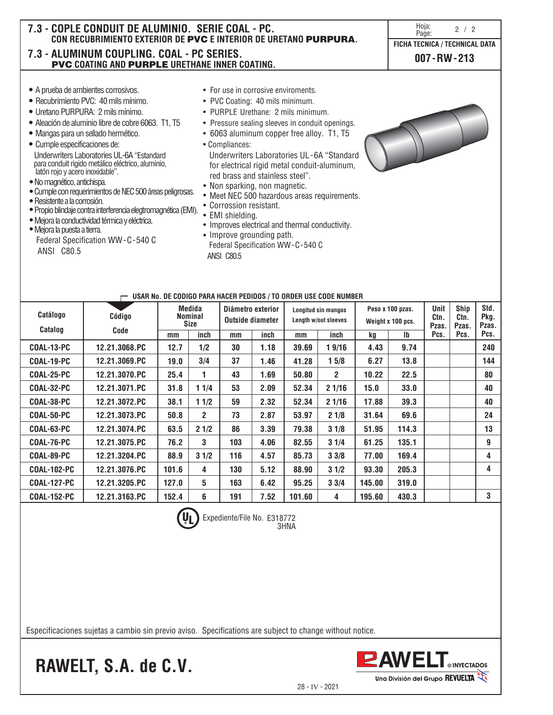| 7.3 - COPLE CONDUIT DE ALUMINIO. SERIE COAL - PC.<br>7.3 - ALUMINUM COUPLING. COAL - PC SERIES.<br><b>PVC COATING AND PURPLE URETHANE INNER COATING.</b>                                                                                                                                                                                                                                                                                                                                                                                                                                                                                                                                                              | CON RECUBRIMIENTO EXTERIOR DE PVC E INTERIOR DE URETANO PURPURA.                                                                                                                                                                                                                                                                                                                                                                                                                                                                                                                                                                        | Hoja:<br>2 / 2<br>Page:<br>FICHA TECNICA / TECHNICAL DATA<br>$007 - RW - 213$ |
|-----------------------------------------------------------------------------------------------------------------------------------------------------------------------------------------------------------------------------------------------------------------------------------------------------------------------------------------------------------------------------------------------------------------------------------------------------------------------------------------------------------------------------------------------------------------------------------------------------------------------------------------------------------------------------------------------------------------------|-----------------------------------------------------------------------------------------------------------------------------------------------------------------------------------------------------------------------------------------------------------------------------------------------------------------------------------------------------------------------------------------------------------------------------------------------------------------------------------------------------------------------------------------------------------------------------------------------------------------------------------------|-------------------------------------------------------------------------------|
| • A prueba de ambientes corrosivos.<br>• Recubrimiento PVC: 40 mils mínimo.<br>• Uretano PURPURA: 2 mils mínimo.<br>• Aleación de aluminio libre de cobre 6063. T1, T5<br>· Mangas para un sellado hermético.<br>• Cumple especificaciones de:<br>Underwriters Laboratories UL-6A "Estandard<br>para conduit rigido metálico eléctrico, aluminio,<br>latón rojo y acero inoxidable".<br>· No magnético, antichispa.<br>· Cumple con requerimientos de NEC 500 áreas peligrosas.<br>• Resistente a la corrosión.<br>· Propio blindaje contra interferencia elegtromagnética (EMI).<br>· Mejora la conductividad térmica y eléctrica.<br>· Mejora la puesta a tierra.<br>Federal Specification WW-C-540 C<br>ANSI C80.5 | • For use in corrosive enviroments.<br>• PVC Coating: 40 mils minimum.<br>• PURPLE Urethane: 2 mils minimum.<br>• Pressure sealing sleeves in conduit openings.<br>• 6063 aluminum copper free alloy. T1, T5<br>• Compliances:<br>Underwriters Laboratories UL-6A "Standard<br>for electrical rigid metal conduit-aluminum,<br>red brass and stainless steel".<br>• Non sparking, non magnetic.<br>• Meet NEC 500 hazardous areas requirements.<br>• Corrossion resistant.<br>• EMI shielding.<br>• Improves electrical and thermal conductivity.<br>• Improve grounding path.<br>Federal Specification WW-C-540 C<br><b>ANSI C80.5</b> |                                                                               |

| Catálogo           |  | Código        | Medida<br><b>Nominal</b><br><b>Size</b> |             | Diámetro exterior<br>Outside diameter |      | Longitud sin mangas<br>Length w/out sleeves |                       | Peso x 100 pzas.<br>Weight x 100 pcs. |              | <b>Unit</b><br>Ctn.<br>Pzas. | <b>Ship</b><br>Ctn.<br>Pzas. | Std.<br>Pkg.<br>Pzas. |
|--------------------|--|---------------|-----------------------------------------|-------------|---------------------------------------|------|---------------------------------------------|-----------------------|---------------------------------------|--------------|------------------------------|------------------------------|-----------------------|
| <b>Catalog</b>     |  | Code          | mm                                      | inch        | mm                                    | inch | mm                                          | inch                  | kq                                    | $\mathsf{I}$ | Pcs.                         | Pcs.                         | Pcs.                  |
| COAL-13-PC         |  | 12.21.3068.PC | 12.7                                    | 1/2         | 30                                    | 1.18 | 39.69                                       | 19/16                 | 4.43                                  | 9.74         |                              |                              | 240                   |
| COAL-19-PC         |  | 12.21.3069.PC | 19.0                                    | 3/4         | 37                                    | 1.46 | 41.28                                       | 15/8                  | 6.27                                  | 13.8         |                              |                              | 144                   |
| COAL-25-PC         |  | 12.21.3070.PC | 25.4                                    | 1           | 43                                    | 1.69 | 50.80                                       | $\mathbf{2}^{\prime}$ | 10.22                                 | 22.5         |                              |                              | 80                    |
| COAL-32-PC         |  | 12.21.3071.PC | 31.8                                    | 11/4        | 53                                    | 2.09 | 52.34                                       | 21/16                 | 15.0                                  | 33.0         |                              |                              | 40                    |
| COAL-38-PC         |  | 12.21.3072.PC | 38.1                                    | 11/2        | 59                                    | 2.32 | 52.34                                       | 21/16                 | 17.88                                 | 39.3         |                              |                              | 40                    |
| COAL-50-PC         |  | 12.21.3073.PC | 50.8                                    | $2^{\circ}$ | 73                                    | 2.87 | 53.97                                       | 21/8                  | 31.64                                 | 69.6         |                              |                              | 24                    |
| COAL-63-PC         |  | 12.21.3074.PC | 63.5                                    | 21/2        | 86                                    | 3.39 | 79.38                                       | 31/8                  | 51.95                                 | 114.3        |                              |                              | 13                    |
| COAL-76-PC         |  | 12.21.3075.PC | 76.2                                    | 3           | 103                                   | 4.06 | 82.55                                       | 31/4                  | 61.25                                 | 135.1        |                              |                              | 9                     |
| COAL-89-PC         |  | 12.21.3204.PC | 88.9                                    | 31/2        | 116                                   | 4.57 | 85.73                                       | 33/8                  | 77.00                                 | 169.4        |                              |                              | 4                     |
| <b>COAL-102-PC</b> |  | 12.21.3076.PC | 101.6                                   | 4           | 130                                   | 5.12 | 88.90                                       | 31/2                  | 93.30                                 | 205.3        |                              |                              | 4                     |
| <b>COAL-127-PC</b> |  | 12.21.3205.PC | 127.0                                   | 5           | 163                                   | 6.42 | 95.25                                       | 33/4                  | 145.00                                | 319.0        |                              |                              |                       |
| <b>COAL-152-PC</b> |  | 12.21.3163.PC | 152.4                                   | 6           | 191                                   | 7.52 | 101.60                                      | 4                     | 195.60                                | 430.3        |                              |                              | 3                     |
|                    |  |               |                                         |             |                                       |      |                                             |                       |                                       |              |                              |                              |                       |

E318772 3HNA

Expediente/File No.

**USAR No. DE CODIGO PARA HACER PEDIDOS / TO ORDER USE CODE NUMBER**

Especificaciones sujetas a cambio sin previo aviso. Specifications are subject to change without notice.

**RAWELT, S.A. de C.V.**